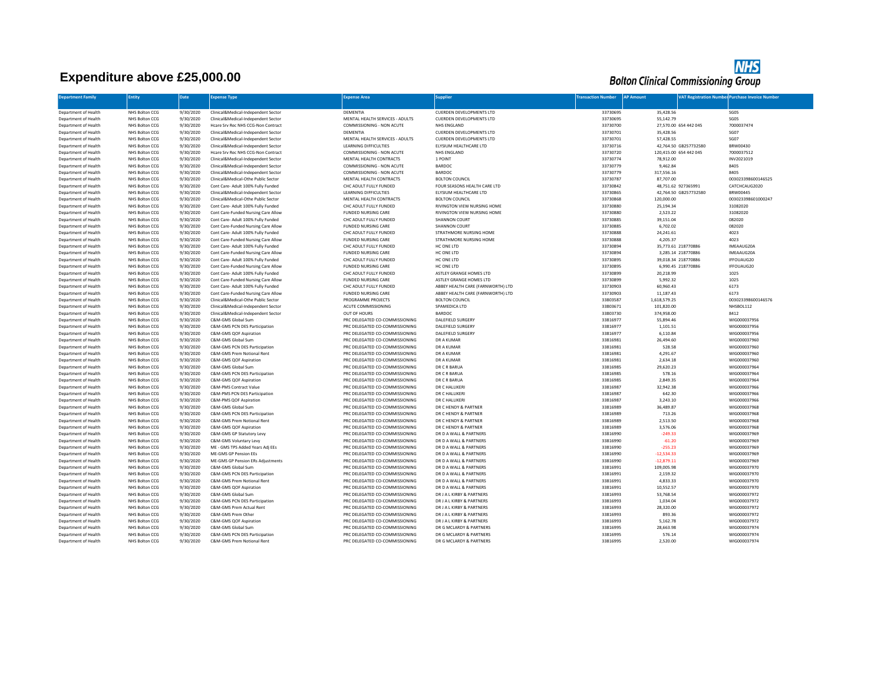## **Expenditure above £25,000.00**



| <b>Department Family</b>                     | Entity                           | Date                   | Expense Type                                                              | <b>Expense Area</b>                                              | <b>Supplier</b>                                    | <b>Transaction Number</b> | <b>AP Amount</b> |                                                 | <b>VAT Registration Number Purchase Invoice Number</b> |
|----------------------------------------------|----------------------------------|------------------------|---------------------------------------------------------------------------|------------------------------------------------------------------|----------------------------------------------------|---------------------------|------------------|-------------------------------------------------|--------------------------------------------------------|
|                                              |                                  |                        |                                                                           |                                                                  |                                                    |                           |                  |                                                 |                                                        |
| Department of Health                         | NHS Bolton CCG                   | 9/30/2020              | Clinical&Medical-Independent Sector                                       | DEMENTIA                                                         | CUERDEN DEVELOPMENTS LTD                           | 33730695                  |                  | 35,428.56                                       | SG05                                                   |
| Department of Health                         | NHS Bolton CCG                   | 9/30/2020              | Clinical&Medical-Independent Sector                                       | MENTAL HEALTH SERVICES - ADULTS                                  | CUERDEN DEVELOPMENTS LTD                           | 33730695                  |                  | 55,142.79                                       | SG05                                                   |
| Department of Health                         | NHS Bolton CCG                   | 9/30/2020              | Hcare Srv Rec NHS CCG-Non Contract                                        | COMMISSIONING - NON ACUTE                                        | NHS ENGLAND                                        | 33730700                  |                  | 27,570.00 654 442 045                           | 7000037474                                             |
| Department of Health                         | NHS Bolton CCG                   | 9/30/2020              | Clinical&Medical-Independent Sector                                       | DEMENTIA                                                         | CUERDEN DEVELOPMENTS LTD                           | 33730701                  |                  | 35,428.56                                       | SG07                                                   |
| Department of Health                         | NHS Bolton CCG                   | 9/30/2020              | Clinical&Medical-Independent Sector                                       | MENTAL HEALTH SERVICES - ADULTS                                  | CUERDEN DEVELOPMENTS LTD                           | 33730701                  |                  | 57,428.55                                       | SG07                                                   |
| Department of Health                         | NHS Bolton CCG                   | 9/30/2020              | Clinical&Medical-Independent Sector                                       | LEARNING DIFFICULTIES                                            | ELYSIUM HEALTHCARE LTD                             | 33730716                  |                  | 42,764.50 GB257732580<br>120,415.00 654 442 045 | BRW00430                                               |
| Department of Health<br>Department of Health | NHS Bolton CCG<br>NHS Bolton CCG | 9/30/2020<br>9/30/2020 | Hcare Srv Rec NHS CCG-Non Contract<br>Clinical&Medical-Independent Sector | COMMISSIONING - NON ACUTE<br>MENTAL HEALTH CONTRACTS             | NHS ENGLAND<br>1 POINT                             | 33730720<br>33730774      |                  | 78,912.00                                       | 7000037512<br>INV2021019                               |
| Department of Health                         | NHS Bolton CCG                   | 9/30/2020              | Clinical&Medical-Independent Sector                                       | COMMISSIONING - NON ACUTE                                        | <b>BARDOC</b>                                      | 33730779                  |                  | 9,462.84                                        | 8405                                                   |
| Department of Health                         | NHS Bolton CCG                   | 9/30/2020              | Clinical&Medical-Independent Sector                                       | COMMISSIONING - NON ACUTE                                        | <b>BARDOC</b>                                      | 33730779                  |                  | 317,556.16                                      | 8405                                                   |
| Department of Health                         | NHS Bolton CCG                   | 9/30/2020              | Clinical&Medical-Othe Public Sector                                       | MENTAL HEALTH CONTRACTS                                          | <b>BOLTON COUNCIL</b>                              | 33730787                  |                  | 87,707.00                                       | 003023398600146525                                     |
| Department of Health                         | NHS Bolton CCG                   | 9/30/2020              | Cont Care- Adult 100% Fully Funded                                        | CHC ADULT FULLY FUNDED                                           | FOUR SEASONS HEALTH CARE LTD                       | 33730842                  |                  | 48,751.62 927365991                             | CATCHCAUG2020                                          |
| Department of Health                         | NHS Bolton CCG                   | 9/30/2020              | Clinical&Medical-Independent Sector                                       | LEARNING DIFFICULTIES                                            | ELYSIUM HEALTHCARE LTD                             | 33730865                  |                  | 42,764.50 GB257732580                           | BRW00445                                               |
| Department of Health                         | NHS Bolton CCG                   | 9/30/2020              | Clinical&Medical-Othe Public Sector                                       | MENTAL HEALTH CONTRACTS                                          | <b>BOLTON COUNCIL</b>                              | 33730868                  |                  | 120,000.00                                      | 003023398601000247                                     |
| Department of Health                         | NHS Bolton CCG                   | 9/30/2020              | Cont Care- Adult 100% Fully Funded                                        | CHC ADULT FULLY FUNDED                                           | <b>RIVINGTON VIEW NURSING HOME</b>                 | 33730880                  |                  | 25,194.34                                       | 31082020                                               |
| Department of Health                         | NHS Bolton CCG                   | 9/30/2020              | Cont Care-Funded Nursing Care Allow                                       | FUNDED NURSING CARE                                              | RIVINGTON VIEW NURSING HOME                        | 33730880                  |                  | 2,523.22                                        | 31082020                                               |
| Department of Health                         | NHS Bolton CCG                   | 9/30/2020              | Cont Care- Adult 100% Fully Funded                                        | CHC ADULT FULLY FUNDED                                           | SHANNON COURT                                      | 33730885                  |                  | 39,151.04                                       | 082020                                                 |
| Department of Health                         | NHS Bolton CCG                   | 9/30/2020              | Cont Care-Funded Nursing Care Allow                                       | FUNDED NURSING CARE                                              | <b>SHANNON COURT</b>                               | 33730885                  |                  | 6,702.02                                        | 082020                                                 |
| Department of Health                         | NHS Bolton CCG                   | 9/30/2020<br>9/30/2020 | Cont Care- Adult 100% Fully Funded<br>Cont Care-Funded Nursing Care Allow | CHC ADULT FULLY FUNDED<br><b>FUNDED NURSING CARE</b>             | STRATHMORE NURSING HOME<br>STRATHMORE NURSING HOME | 33730888<br>33730888      |                  | 24,241.61                                       | 4023<br>4023                                           |
| Department of Health<br>Department of Health | NHS Bolton CCG<br>NHS Bolton CCG | 9/30/2020              | Cont Care- Adult 100% Fully Funded                                        | CHC ADULT FULLY FUNDED                                           | HC ONE LTD                                         | 33730894                  |                  | 4,205.37<br>35,773.61 218770886                 | IMEAAUG20A                                             |
| Department of Health                         | NHS Bolton CCG                   | 9/30/2020              | Cont Care-Funded Nursing Care Allow                                       | <b>FUNDED NURSING CARE</b>                                       | HC ONE LTD                                         | 33730894                  |                  | 3,285.14 218770886                              | IMEAAUG20A                                             |
| Department of Health                         | NHS Bolton CCG                   | 9/30/2020              | Cont Care- Adult 100% Fully Funded                                        | CHC ADULT FULLY FUNDED                                           | HC ONE LTD                                         | 33730895                  |                  | 39,018.34 218770886                             | IFFOUAUG20                                             |
| Department of Health                         | NHS Bolton CCG                   | 9/30/2020              | Cont Care-Funded Nursing Care Allow                                       | <b>FUNDED NURSING CARE</b>                                       | HC ONE LTD                                         | 33730895                  |                  | 6,990.45 218770886                              | IFFOUAUG20                                             |
| Department of Health                         | NHS Bolton CCG                   | 9/30/2020              | Cont Care- Adult 100% Fully Funded                                        | CHC ADULT FULLY FUNDED                                           | ASTLEY GRANGE HOMES LTD                            | 33730899                  |                  | 20,218.99                                       | 1025                                                   |
| Department of Health                         | NHS Bolton CCG                   | 9/30/2020              | Cont Care-Funded Nursing Care Allow                                       | FUNDED NURSING CARE                                              | ASTLEY GRANGE HOMES LTD                            | 33730899                  |                  | 5,992.32                                        | 1025                                                   |
| Department of Health                         | NHS Bolton CCG                   | 9/30/2020              | Cont Care- Adult 100% Fully Funded                                        | CHC ADULT FULLY FUNDED                                           | ABBEY HEALTH CARE (FARNWORTH) LTD                  | 33730903                  |                  | 60,960.43                                       | 6173                                                   |
| Department of Health                         | NHS Bolton CCG                   | 9/30/2020              | Cont Care-Funded Nursing Care Allow                                       | FUNDED NURSING CARE                                              | ABBEY HEALTH CARE (FARNWORTH) LTD                  | 33730903                  |                  | 11,187.43                                       | 6173                                                   |
| Department of Health                         | NHS Bolton CCG                   | 9/30/2020              | Clinical&Medical-Othe Public Sector                                       | PROGRAMME PROJECTS                                               | <b>BOLTON COUNCIL</b>                              | 33803587                  |                  | 1,618,579.25                                    | 003023398600146576                                     |
| Department of Health                         | NHS Bolton CCG                   | 9/30/2020              | Clinical&Medical-Independent Sector                                       | ACUTE COMMISSIONING                                              | SPAMEDICA LTD                                      | 33803671                  |                  | 101,820.00                                      | NHSBOL112                                              |
| Department of Health<br>Department of Health | NHS Bolton CCG<br>NHS Bolton CCG | 9/30/2020<br>9/30/2020 | Clinical&Medical-Independent Sector<br>C&M-GMS Global Sum                 | OUT OF HOURS<br>PRC DELEGATED CO-COMMISSIONING                   | BARDOC<br>DALEFIELD SURGERY                        | 33803730<br>33816977      |                  | 374,958.00<br>55,894.46                         | 8412<br>WIG000037956                                   |
| Department of Health                         | NHS Bolton CCG                   | 9/30/2020              | C&M-GMS PCN DES Participation                                             | PRC DELEGATED CO-COMMISSIONING                                   | DALEFIELD SURGERY                                  | 33816977                  |                  | 1,101.51                                        | WIG000037956                                           |
| Department of Health                         | NHS Bolton CCG                   | 9/30/2020              | C&M-GMS QOF Aspiration                                                    | PRC DELEGATED CO-COMMISSIONING                                   | DALEFIELD SURGERY                                  | 33816977                  |                  | 6,110.84                                        | WIG000037956                                           |
| Department of Health                         | NHS Bolton CCG                   | 9/30/2020              | C&M-GMS Global Sum                                                        | PRC DELEGATED CO-COMMISSIONING                                   | DR A KUMAR                                         | 33816981                  |                  | 26,494.60                                       | WIG000037960                                           |
| Department of Health                         | NHS Bolton CCG                   | 9/30/2020              | C&M-GMS PCN DES Participation                                             | PRC DELEGATED CO-COMMISSIONING                                   | <b>DR A KUMAR</b>                                  | 33816981                  |                  | 528.58                                          | WIG000037960                                           |
| Department of Health                         | NHS Bolton CCG                   | 9/30/2020              | C&M-GMS Prem Notional Rent                                                | PRC DELEGATED CO-COMMISSIONING                                   | DR A KUMAR                                         | 33816981                  |                  | 4,291.67                                        | WIG000037960                                           |
| Department of Health                         | NHS Bolton CCG                   | 9/30/2020              | C&M-GMS QOF Aspiration                                                    | PRC DELEGATED CO-COMMISSIONING                                   | <b>DR A KUMAR</b>                                  | 33816981                  |                  | 2.634.18                                        | WIG000037960                                           |
| Department of Health                         | NHS Bolton CCG                   | 9/30/2020              | C&M-GMS Global Sum                                                        | PRC DELEGATED CO-COMMISSIONING                                   | DR C R BARUA                                       | 33816985                  |                  | 29,620.23                                       | WIG000037964                                           |
| Department of Health                         | NHS Bolton CCG                   | 9/30/2020              | C&M-GMS PCN DES Participation                                             | PRC DELEGATED CO-COMMISSIONING                                   | DR C R BARUA                                       | 33816985                  |                  | 578.16                                          | WIG000037964                                           |
| Department of Health                         | NHS Bolton CCG                   | 9/30/2020              | C&M-GMS QOF Aspiration                                                    | PRC DELEGATED CO-COMMISSIONING                                   | DR C R BARUA                                       | 33816985                  |                  | 2,849.35                                        | WIG000037964                                           |
| Department of Health                         | NHS Bolton CCG                   | 9/30/2020              | C&M-PMS Contract Value                                                    | PRC DELEGATED CO-COMMISSIONING                                   | DR C HALLIKERI                                     | 33816987                  |                  | 32,942.38                                       | WIG000037966                                           |
| Department of Health                         | NHS Bolton CCG<br>NHS Bolton CCG | 9/30/2020<br>9/30/2020 | C&M-PMS PCN DES Participation<br>C&M-PMS QOF Aspiration                   | PRC DELEGATED CO-COMMISSIONING<br>PRC DELEGATED CO-COMMISSIONING | DR C HALLIKERI<br>DR C HALLIKERI                   | 33816987<br>33816987      |                  | 642.30                                          | WIG000037966                                           |
| Department of Health<br>Department of Health | NHS Bolton CCG                   | 9/30/2020              | C&M-GMS Global Sum                                                        | PRC DELEGATED CO-COMMISSIONING                                   | DR C HENDY & PARTNER                               | 33816989                  |                  | 3,243.10<br>36,489.87                           | WIG000037966<br>WIG000037968                           |
| Department of Health                         | NHS Bolton CCG                   | 9/30/2020              | C&M-GMS PCN DES Participation                                             | PRC DELEGATED CO-COMMISSIONING                                   | DR C HENDY & PARTNER                               | 33816989                  |                  | 713.26                                          | WIG000037968                                           |
| Department of Health                         | NHS Bolton CCG                   | 9/30/2020              | C&M-GMS Prem Notional Rent                                                | PRC DELEGATED CO-COMMISSIONING                                   | DR C HENDY & PARTNER                               | 33816989                  |                  | 2,513.50                                        | WIG000037968                                           |
| Department of Health                         | NHS Bolton CCG                   | 9/30/2020              | C&M-GMS QOF Aspiration                                                    | PRC DELEGATED CO-COMMISSIONING                                   | DR C HENDY & PARTNER                               | 33816989                  |                  | 3,576.06                                        | WIG000037968                                           |
| Department of Health                         | NHS Bolton CCG                   | 9/30/2020              | C&M-GMS GP Statutory Levy                                                 | PRC DELEGATED CO-COMMISSIONING                                   | DR D A WALL & PARTNERS                             | 33816990                  |                  | $-249.33$                                       | WIG000037969                                           |
| Department of Health                         | NHS Bolton CCG                   | 9/30/2020              | C&M-GMS Voluntary Levy                                                    | PRC DELEGATED CO-COMMISSIONING                                   | DR D A WALL & PARTNERS                             | 33816990                  |                  | $-61.20$                                        | WIG000037969                                           |
| Department of Health                         | NHS Bolton CCG                   | 9/30/2020              | ME - GMS TPS Added Years Adj EEs                                          | PRC DELEGATED CO-COMMISSIONING                                   | DR D A WALL & PARTNERS                             | 33816990                  |                  | $-255.23$                                       | WIG000037969                                           |
| Department of Health                         | NHS Bolton CCG                   | 9/30/2020              | MF-GMS GP Pension FFs                                                     | PRC DELEGATED CO-COMMISSIONING                                   | DR D A WALL & PARTNERS                             | 33816990                  |                  | $-12,534.33$                                    | WIG000037969                                           |
| Department of Health                         | NHS Bolton CCG                   | 9/30/2020              | ME-GMS GP Pension ERs Adjustments                                         | PRC DELEGATED CO-COMMISSIONING                                   | DR D A WALL & PARTNERS                             | 33816990                  |                  | $-12,879.11$                                    | WIG000037969                                           |
| Department of Health                         | NHS Bolton CCG                   | 9/30/2020              | C&M-GMS Global Sum                                                        | PRC DELEGATED CO-COMMISSIONING                                   | DR D A WALL & PARTNERS                             | 33816991                  |                  | 109,005.98                                      | WIG000037970                                           |
| Department of Health<br>Department of Health | NHS Bolton CCG<br>NHS Bolton CCG | 9/30/2020<br>9/30/2020 | C&M-GMS PCN DES Participation<br>C&M-GMS Prem Notional Rent               | PRC DELEGATED CO-COMMISSIONING<br>PRC DELEGATED CO-COMMISSIONING | DR D A WALL & PARTNERS<br>DR D A WALL & PARTNERS   | 33816991<br>33816991      |                  | 2,159.32<br>4,833.33                            | WIG000037970<br>WIG000037970                           |
| Department of Health                         | NHS Bolton CCG                   | 9/30/2020              | C&M-GMS QOF Aspiration                                                    | PRC DELEGATED CO-COMMISSIONING                                   | DR D A WALL & PARTNERS                             | 33816991                  |                  | 10,552.57                                       | WIG000037970                                           |
| Department of Health                         | NHS Bolton CCG                   | 9/30/2020              | C&M-GMS Global Sum                                                        | PRC DELEGATED CO-COMMISSIONING                                   | DR J A L KIRBY & PARTNERS                          | 33816993                  |                  | 53,768.54                                       | WIG000037972                                           |
| Department of Health                         | NHS Bolton CCG                   | 9/30/2020              | C&M-GMS PCN DES Participation                                             | PRC DELEGATED CO-COMMISSIONING                                   | DR J A L KIRBY & PARTNERS                          | 33816993                  |                  | 1,034.04                                        | WIG000037972                                           |
| Department of Health                         | NHS Bolton CCG                   | 9/30/2020              | C&M-GMS Prem Actual Rent                                                  | PRC DELEGATED CO-COMMISSIONING                                   | DR J A L KIRBY & PARTNERS                          | 33816993                  |                  | 28,320.00                                       | WIG000037972                                           |
| Department of Health                         | NHS Bolton CCG                   | 9/30/2020              | C&M-GMS Prem Other                                                        | PRC DELEGATED CO-COMMISSIONING                                   | DR J A L KIRBY & PARTNERS                          | 33816993                  |                  | 893.36                                          | WIG000037972                                           |
| Department of Health                         | NHS Bolton CCG                   | 9/30/2020              | C&M-GMS QOF Aspiration                                                    | PRC DELEGATED CO-COMMISSIONING                                   | DR J A L KIRBY & PARTNERS                          | 33816993                  |                  | 5,162.78                                        | WIG000037972                                           |
| Department of Health                         | NHS Bolton CCG                   | 9/30/2020              | C&M-GMS Global Sum                                                        | PRC DELEGATED CO-COMMISSIONING                                   | DR G MCLARDY & PARTNERS                            | 33816995                  |                  | 28,663.98                                       | WIG000037974                                           |
| Department of Health                         | NHS Bolton CCG                   | 9/30/2020              | C&M-GMS PCN DES Participation                                             | PRC DELEGATED CO-COMMISSIONING                                   | DR G MCLARDY & PARTNERS                            | 33816995                  |                  | 576.14                                          | WIG000037974                                           |
| Department of Health                         | NHS Bolton CCG                   | 9/30/2020              | C&M-GMS Prem Notional Rent                                                | PRC DELEGATED CO-COMMISSIONING                                   | DR G MCLARDY & PARTNERS                            | 33816995                  |                  | 2,520.00                                        | WIG000037974                                           |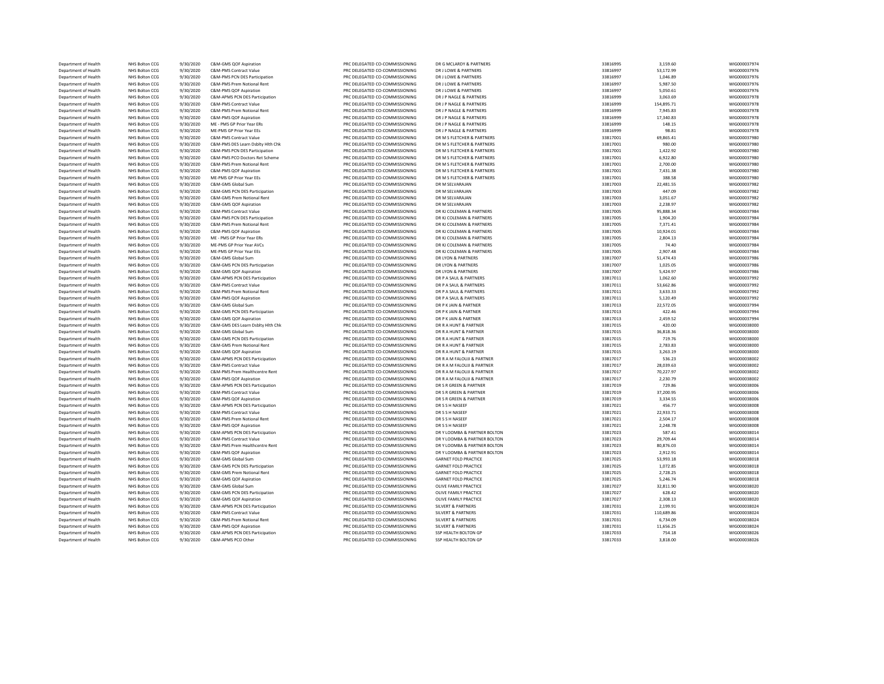| Department of Health | NHS Bolton CCG | 9/30/2020 | C&M-GMS QOF Aspiration            | PRC DELEGATED CO-COMMISSIONING | DR G MCLARDY & PARTNERS       | 33816995 | 3,159.60   | WIG000037974 |
|----------------------|----------------|-----------|-----------------------------------|--------------------------------|-------------------------------|----------|------------|--------------|
| Department of Health | NHS Bolton CCG | 9/30/2020 | C&M-PMS Contract Value            | PRC DELEGATED CO-COMMISSIONING | DR J LOWE & PARTNERS          | 33816997 | 53,172.99  | WIG000037976 |
| Department of Health | NHS Bolton CCG | 9/30/2020 | C&M-PMS PCN DES Participation     | PRC DELEGATED CO-COMMISSIONING | DR J LOWE & PARTNERS          | 33816997 | 1,046.89   | WIG000037976 |
| Department of Health | NHS Bolton CCG | 9/30/2020 | C&M-PMS Prem Notional Rent        | PRC DELEGATED CO-COMMISSIONING | DR J LOWE & PARTNERS          | 33816997 | 5,987.50   | WIG000037976 |
| Department of Health | NHS Bolton CCG | 9/30/2020 | C&M-PMS OOF Asniration            | PRC DELEGATED CO-COMMISSIONING | DR LLOWE & PARTNERS           | 33816997 | 5,050.61   | WIG000037976 |
| Department of Health | NHS Bolton CCG | 9/30/2020 | C&M-APMS PCN DES Participation    | PRC DELEGATED CO-COMMISSIONING | DR J P NAGLE & PARTNERS       | 33816999 | 3,063.69   | WIG000037978 |
| Department of Health | NHS Bolton CCG | 9/30/2020 | C&M-PMS Contract Value            | PRC DELEGATED CO-COMMISSIONING | DR J P NAGLE & PARTNERS       | 33816999 | 154,895.71 | WIG000037978 |
| Department of Health | NHS Bolton CCG | 9/30/2020 | C&M-PMS Prem Notional Rent        | PRC DELEGATED CO-COMMISSIONING | DR J P NAGLE & PARTNERS       | 33816999 | 7,945.83   | WIG000037978 |
| Department of Health | NHS Bolton CCG | 9/30/2020 | C&M-PMS QOF Aspiration            | PRC DELEGATED CO-COMMISSIONING | DR J P NAGLE & PARTNERS       | 33816999 | 17,340.83  | WIG000037978 |
| Department of Health | NHS Bolton CCG | 9/30/2020 | ME - PMS GP Prior Year ERs        | PRC DELEGATED CO-COMMISSIONING | DR J P NAGLE & PARTNERS       | 33816999 | 148.15     | WIG000037978 |
| Department of Health | NHS Bolton CCG | 9/30/2020 | MF-PMS GP Prior Year FFs          | PRC DELEGATED CO-COMMISSIONING | DR I P NAGLE & PARTNERS       | 33816999 | 98.81      | WIG000037978 |
| Department of Health | NHS Bolton CCG | 9/30/2020 | C&M-PMS Contract Value            | PRC DELEGATED CO-COMMISSIONING | DR M S FLETCHER & PARTNERS    | 33817001 | 69,865.41  | WIG000037980 |
| Department of Health | NHS Bolton CCG | 9/30/2020 | C&M-PMS DES Learn Dsblty Hlth Chk | PRC DELEGATED CO-COMMISSIONING | DR M S FLETCHER & PARTNERS    | 33817001 | 980.00     | WIG000037980 |
| Department of Health | NHS Bolton CCG | 9/30/2020 | C&M-PMS PCN DES Participation     | PRC DELEGATED CO-COMMISSIONING | DR M S FLETCHER & PARTNERS    | 33817001 | 1,422.92   | WIG000037980 |
| Department of Health | NHS Bolton CCG | 9/30/2020 | C&M-PMS PCO Doctors Ret Scheme    | PRC DELEGATED CO-COMMISSIONING | DR M S FLETCHER & PARTNERS    | 33817001 | 6,922.80   | WIG000037980 |
| Department of Health | NHS Bolton CCG | 9/30/2020 | C&M-PMS Prem Notional Rent        | PRC DELEGATED CO-COMMISSIONING | DR M S FLETCHER & PARTNERS    | 33817001 | 2,700.00   | WIG000037980 |
| Denartment of Health | NHS Bolton CCG | 9/30/2020 | C&M-PMS OOF Asniration            | PRC DELEGATED CO-COMMISSIONING | DR M S FLETCHER & PARTNERS    | 33817001 | 7.431.38   | WIG000037980 |
| Department of Health | NHS Bolton CCG | 9/30/2020 | ME-PMS GP Prior Year EEs          | PRC DELEGATED CO-COMMISSIONING | DR M S FLETCHER & PARTNERS    | 33817001 | 388.58     | WIG000037980 |
| Department of Health | NHS Bolton CCG | 9/30/2020 | C&M-GMS Global Sum                | PRC DELEGATED CO-COMMISSIONING | DR M SELVARAJAN               | 33817003 | 22.481.55  | WIG000037982 |
| Department of Health | NHS Bolton CCG | 9/30/2020 | C&M-GMS PCN DES Participation     | PRC DELEGATED CO-COMMISSIONING | DR M SELVARAJAN               | 33817003 | 447.09     | WIG000037982 |
| Department of Health | NHS Bolton CCG | 9/30/2020 | C&M-GMS Prem Notional Rent        | PRC DELEGATED CO-COMMISSIONING | DR M SELVARAJAN               | 33817003 | 3.051.67   | WIG000037982 |
| Department of Health | NHS Bolton CCG | 9/30/2020 | C&M-GMS QOF Aspiration            | PRC DELEGATED CO-COMMISSIONING | DR M SELVARAJAN               | 33817003 | 2,238.97   | WIG000037982 |
| Department of Health | NHS Bolton CCG | 9/30/2020 | C&M-PMS Contract Value            | PRC DELEGATED CO-COMMISSIONING | DR KJ COLEMAN & PARTNERS      | 33817005 | 95,888.34  | WIG000037984 |
| Department of Health | NHS Bolton CCG | 9/30/2020 | C&M-PMS PCN DES Participation     | PRC DELEGATED CO-COMMISSIONING | DR KJ COLEMAN & PARTNERS      | 33817005 | 1,904.20   | WIG000037984 |
| Department of Health | NHS Bolton CCG | 9/30/2020 | C&M-PMS Prem Notional Rent        | PRC DELEGATED CO-COMMISSIONING | DR KJ COLEMAN & PARTNERS      | 33817005 | 7,371.41   | WIG000037984 |
| Department of Health | NHS Bolton CCG | 9/30/2020 | C&M-PMS QOF Aspiration            | PRC DELEGATED CO-COMMISSIONING | DR KJ COLEMAN & PARTNERS      | 33817005 | 10,924.01  | WIG000037984 |
| Department of Health | NHS Bolton CCG | 9/30/2020 | ME - PMS GP Prior Year ERs        | PRC DELEGATED CO-COMMISSIONING | DR KJ COLEMAN & PARTNERS      | 33817005 | 2,804.13   | WIG000037984 |
| Department of Health | NHS Bolton CCG | 9/30/2020 | ME-PMS GP Prior Year AVCs         | PRC DELEGATED CO-COMMISSIONING | DR KJ COLEMAN & PARTNERS      | 33817005 | 74.40      | WIG000037984 |
| Department of Health | NHS Bolton CCG | 9/30/2020 | ME-PMS GP Prior Year EEs          | PRC DELEGATED CO-COMMISSIONING | DR KJ COLEMAN & PARTNERS      | 33817005 | 2,907.48   | WIG000037984 |
| Department of Health | NHS Bolton CCG | 9/30/2020 | C&M-GMS Global Sum                | PRC DELEGATED CO-COMMISSIONING | <b>DR LYON &amp; PARTNERS</b> | 33817007 | 51,474.43  | WIG000037986 |
| Department of Health | NHS Bolton CCG | 9/30/2020 | C&M-GMS PCN DES Participation     | PRC DELEGATED CO-COMMISSIONING | DR LYON & PARTNERS            | 33817007 | 1.025.05   | WIG000037986 |
| Department of Health | NHS Bolton CCG | 9/30/2020 | C&M-GMS QOF Aspiration            | PRC DELEGATED CO-COMMISSIONING | DR LYON & PARTNERS            | 33817007 | 5,424.97   | WIG000037986 |
| Department of Health | NHS Bolton CCG | 9/30/2020 | C&M-APMS PCN DES Participation    | PRC DELEGATED CO-COMMISSIONING | DR P A SAUL & PARTNERS        | 33817011 | 1,062.60   | WIG000037992 |
| Department of Health | NHS Bolton CCG | 9/30/2020 | C&M-PMS Contract Value            | PRC DELEGATED CO-COMMISSIONING | DR P A SAUL & PARTNERS        | 33817011 | 53,662.86  | WIG000037992 |
| Department of Health | NHS Bolton CCG | 9/30/2020 | C&M-PMS Prem Notional Rent        | PRC DELEGATED CO-COMMISSIONING | DR P A SAUL & PARTNERS        | 33817011 | 3,633.33   | WIG000037992 |
| Department of Health | NHS Bolton CCG | 9/30/2020 | C&M-PMS QOF Aspiration            | PRC DELEGATED CO-COMMISSIONING | DR P A SAUL & PARTNERS        | 33817011 | 5,120.49   | WIG000037992 |
| Department of Health | NHS Bolton CCG | 9/30/2020 | C&M-GMS Global Sum                | PRC DELEGATED CO-COMMISSIONING | DR P K JAIN & PARTNER         | 33817013 | 22,572.05  | WIG000037994 |
| Department of Health | NHS Bolton CCG | 9/30/2020 | C&M-GMS PCN DES Participation     | PRC DELEGATED CO-COMMISSIONING | DR P K JAIN & PARTNER         | 33817013 | 422.46     | WIG000037994 |
| Department of Health | NHS Bolton CCG | 9/30/2020 | C&M-GMS QOF Aspiration            | PRC DELEGATED CO-COMMISSIONING | DR P K JAIN & PARTNER         | 33817013 | 2,459.52   | WIG000037994 |
| Department of Health | NHS Bolton CCG | 9/30/2020 | C&M-GMS DES Learn Dsblty Hlth Chk | PRC DELEGATED CO-COMMISSIONING | DR R A HUNT & PARTNER         | 33817015 | 420.00     | WIG000038000 |
| Department of Health | NHS Bolton CCG | 9/30/2020 | C&M-GMS Global Sum                | PRC DELEGATED CO-COMMISSIONING | DR R A HUNT & PARTNER         | 33817015 | 36,818.36  | WIG000038000 |
| Department of Health | NHS Bolton CCG | 9/30/2020 | C&M-GMS PCN DES Participation     | PRC DELEGATED CO-COMMISSIONING | DR R A HUNT & PARTNER         | 33817015 | 719.76     | WIG000038000 |
| Department of Health | NHS Bolton CCG | 9/30/2020 | C&M-GMS Prem Notional Rent        | PRC DELEGATED CO-COMMISSIONING | DR R A HUNT & PARTNER         | 33817015 | 2,783.83   | WIG000038000 |
| Department of Health | NHS Bolton CCG | 9/30/2020 | C&M-GMS QOF Aspiration            | PRC DELEGATED CO-COMMISSIONING | DR R A HUNT & PARTNER         | 33817015 | 3,263.19   | WIG000038000 |
| Department of Health | NHS Bolton CCG | 9/30/2020 | C&M-APMS PCN DES Participation    | PRC DELEGATED CO-COMMISSIONING | DR R A M FALOUJI & PARTNER    | 33817017 | 536.23     | WIG000038002 |
| Department of Health | NHS Bolton CCG | 9/30/2020 | C&M-PMS Contract Value            | PRC DELEGATED CO-COMMISSIONING | DR R A M FALOUJI & PARTNER    | 33817017 | 28,039.63  | WIG000038002 |
| Department of Health | NHS Bolton CCG | 9/30/2020 | C&M-PMS Prem Healthcentre Rent    | PRC DELEGATED CO-COMMISSIONING | DR R A M FALOUJI & PARTNER    | 33817017 | 70,227.97  | WIG000038002 |
| Department of Health | NHS Bolton CCG | 9/30/2020 | C&M-PMS QOF Aspiration            | PRC DELEGATED CO-COMMISSIONING | DR R A M FALOUIL & PARTNER    | 33817017 | 2,230.79   | WIG000038002 |
| Department of Health | NHS Bolton CCG | 9/30/2020 | C&M-APMS PCN DES Participation    | PRC DELEGATED CO-COMMISSIONING | DR S R GREEN & PARTNER        | 33817019 | 729.86     | WIG000038006 |
| Department of Health | NHS Bolton CCG | 9/30/2020 | C&M-PMS Contract Value            | PRC DELEGATED CO-COMMISSIONING | DR S R GREEN & PARTNER        | 33817019 | 37,200.95  | WIG000038006 |
| Department of Health | NHS Bolton CCG | 9/30/2020 | C&M-PMS QOF Aspiration            | PRC DELEGATED CO-COMMISSIONING | DR S R GREEN & PARTNER        | 33817019 | 3,334.55   | WIG000038006 |
| Department of Health | NHS Bolton CCG | 9/30/2020 | C&M-APMS PCN DES Participation    | PRC DELEGATED CO-COMMISSIONING | DR S S H NASEEF               | 33817021 | 456.77     | WIG000038008 |
| Department of Health | NHS Bolton CCG | 9/30/2020 | C&M-PMS Contract Value            | PRC DELEGATED CO-COMMISSIONING | DR S S H NASEEF               | 33817021 | 22,933.71  | WIG000038008 |
| Department of Health | NHS Bolton CCG | 9/30/2020 | C&M-PMS Prem Notional Rent        | PRC DELEGATED CO-COMMISSIONING | DR S S H NASEFF               | 33817021 | 2,504.17   | WIG000038008 |
| Department of Health | NHS Bolton CCG | 9/30/2020 | C&M-PMS QOF Aspiration            | PRC DELEGATED CO-COMMISSIONING | DR S S H NASEEF               | 33817021 | 2,248.78   | WIG000038008 |
| Department of Health | NHS Bolton CCG | 9/30/2020 | C&M-APMS PCN DES Participation    | PRC DELEGATED CO-COMMISSIONING | DRY LOOMBA & PARTNER BOLTON   | 33817023 | 587.41     | WIG000038014 |
| Department of Health | NHS Bolton CCG | 9/30/2020 | C&M-PMS Contract Value            | PRC DELEGATED CO-COMMISSIONING | DR Y LOOMBA & PARTNER BOLTON  | 33817023 | 29,709.44  | WIG000038014 |
| Department of Health | NHS Bolton CCG | 9/30/2020 | C&M-PMS Prem Healthcentre Rent    | PRC DELEGATED CO-COMMISSIONING | DRY LOOMBA & PARTNER BOLTON   | 33817023 | 80,876.03  | WIG000038014 |
| Department of Health | NHS Bolton CCG | 9/30/2020 | C&M-PMS QOF Aspiration            | PRC DELEGATED CO-COMMISSIONING | DR Y LOOMBA & PARTNER BOLTON  | 33817023 | 2,912.91   | WIG000038014 |
| Department of Health | NHS Bolton CCG | 9/30/2020 | C&M-GMS Global Sum                | PRC DELEGATED CO-COMMISSIONING | <b>GARNET FOLD PRACTICE</b>   | 33817025 | 53,993.18  | WIG000038018 |
| Department of Health | NHS Bolton CCG | 9/30/2020 | C&M-GMS PCN DES Participation     | PRC DELEGATED CO-COMMISSIONING | <b>GARNET FOLD PRACTICE</b>   | 33817025 | 1,072.85   | WIG000038018 |
| Department of Health | NHS Bolton CCG | 9/30/2020 | C&M-GMS Prem Notional Rent        | PRC DELEGATED CO-COMMISSIONING | <b>GARNET FOLD PRACTICE</b>   | 33817025 | 2,728.25   | WIG000038018 |
| Department of Health | NHS Bolton CCG | 9/30/2020 | C&M-GMS QOF Aspiration            | PRC DELEGATED CO-COMMISSIONING | <b>GARNET FOLD PRACTICE</b>   | 33817025 | 5,246.74   | WIG000038018 |
| Department of Health | NHS Bolton CCG | 9/30/2020 | C&M-GMS Global Sum                | PRC DELEGATED CO-COMMISSIONING | OLIVE FAMILY PRACTICE         | 33817027 | 32,811.90  | WIG000038020 |
| Department of Health | NHS Bolton CCG | 9/30/2020 | C&M-GMS PCN DES Participation     | PRC DELEGATED CO-COMMISSIONING | OLIVE FAMILY PRACTICE         | 33817027 | 628.42     | WIG000038020 |
| Department of Health | NHS Bolton CCG | 9/30/2020 | C&M-GMS QOF Aspiration            | PRC DELEGATED CO-COMMISSIONING | OLIVE FAMILY PRACTICE         | 33817027 | 2.308.13   | WIG000038020 |
| Department of Health | NHS Bolton CCG | 9/30/2020 | C&M-APMS PCN DES Participation    | PRC DELEGATED CO-COMMISSIONING | <b>SILVERT &amp; PARTNERS</b> | 33817031 | 2,199.91   | WIG000038024 |
| Department of Health | NHS Bolton CCG | 9/30/2020 | <b>C&amp;M-PMS Contract Value</b> | PRC DELEGATED CO-COMMISSIONING | <b>SILVERT &amp; PARTNERS</b> | 33817031 | 110.689.86 | WIG000038024 |
| Department of Health | NHS Bolton CCG | 9/30/2020 | C&M-PMS Prem Notional Rent        | PRC DELEGATED CO-COMMISSIONING | <b>SILVERT &amp; PARTNERS</b> | 33817031 | 6,734.09   | WIG000038024 |
| Department of Health | NHS Bolton CCG | 9/30/2020 | C&M-PMS QOF Aspiration            | PRC DELEGATED CO-COMMISSIONING | <b>SILVERT &amp; PARTNERS</b> | 33817031 | 11.656.25  | WIG000038024 |
| Department of Health | NHS Bolton CCG | 9/30/2020 | C&M-APMS PCN DES Participation    | PRC DELEGATED CO-COMMISSIONING | SSP HEALTH BOLTON GP          | 33817033 | 754.18     | WIG000038026 |
| Department of Health | NHS Bolton CCG | 9/30/2020 | C&M-APMS PCO Other                | PRC DELEGATED CO-COMMISSIONING | SSP HEALTH BOLTON GP          | 33817033 | 3.818.00   | WIG000038026 |
|                      |                |           |                                   |                                |                               |          |            |              |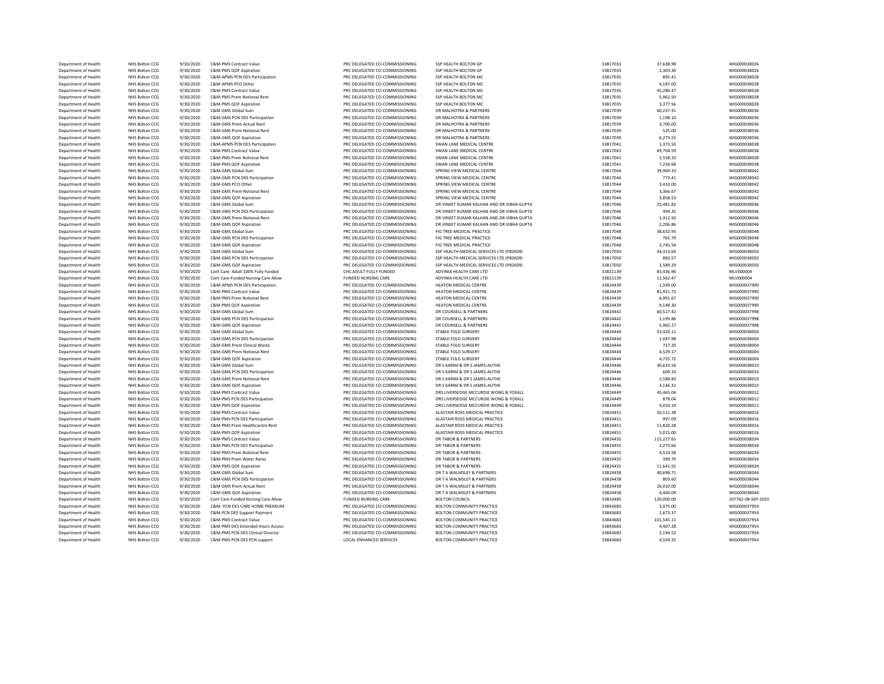| Department of Health | NHS Bolton CCG                   | 9/30/2020              | C&M-PMS Contract Value                                    | PRC DELEGATED CO-COMMISSIONING                                   | SSP HEALTH BOLTON GP                       | 33817033             | 37.638.98          | WIG000038026       |
|----------------------|----------------------------------|------------------------|-----------------------------------------------------------|------------------------------------------------------------------|--------------------------------------------|----------------------|--------------------|--------------------|
| Department of Health | NHS Bolton CCG                   | 9/30/2020              | C&M-PMS QOF Aspiration                                    | PRC DELEGATED CO-COMMISSIONING                                   | SSP HEALTH BOLTON GP                       | 33817033             | 2,303.30           | WIG000038026       |
| Department of Health | NHS Bolton CCG                   | 9/30/2020              | C&M-APMS PCN DES Participation                            | PRC DELEGATED CO-COMMISSIONING                                   | SSP HEALTH BOLTON MC                       | 33817035             | 895.41             | WIG000038028       |
| Department of Health | NHS Bolton CCG                   | 9/30/2020              | C&M-APMS PCO Other                                        | PRC DELEGATED CO-COMMISSIONING                                   | SSP HEALTH BOLTON MC                       | 33817035             | 4,187.00           | WIG000038028       |
| Department of Health | NHS Bolton CCG                   | 9/30/2020              | <b>C&amp;M-PMS Contract Value</b>                         | PRC DELEGATED CO-COMMISSIONING                                   | SSP HEALTH BOLTON MC                       | 33817035             | 45,280.47          | WIG000038028       |
| Department of Health | NHS Bolton CCG                   | 9/30/2020              | C&M-PMS Prem Notional Rent                                | PRC DELEGATED CO-COMMISSIONING                                   | SSP HEALTH BOLTON MC                       | 33817035             | 5.962.50           | WIG000038028       |
| Department of Health | NHS Bolton CCG                   | 9/30/2020              | C&M-PMS QOF Aspiration                                    | PRC DELEGATED CO-COMMISSIONING                                   | SSP HEALTH BOLTON MC                       | 33817035             | 3,377.56           | WIG000038028       |
| Department of Health | NHS Bolton CCG                   | 9/30/2020              | C&M-GMS Global Sum                                        | PRC DELEGATED CO-COMMISSIONING                                   | DR MALHOTRA & PARTNERS                     | 33817039             | 60,237.31          | WIG000038036       |
| Department of Health | NHS Bolton CCG                   | 9/30/2020              | C&M-GMS PCN DES Participation                             | PRC DELEGATED CO-COMMISSIONING                                   | DR MALHOTRA & PARTNERS                     | 33817039             | 1,198.10           | WIG000038036       |
| Department of Health | NHS Bolton CCG                   | 9/30/2020              | C&M-GMS Prem Actual Rent                                  | PRC DELEGATED CO-COMMISSIONING                                   | DR MALHOTRA & PARTNERS                     | 33817039             | 3,700.00           | WIG000038036       |
| Department of Health | NHS Bolton CCG                   | 9/30/2020              | C&M-GMS Prem Notional Rent                                | PRC DELEGATED CO-COMMISSIONING                                   | DR MALHOTRA & PARTNERS                     | 33817039             | 525.00             | WIG000038036       |
| Department of Health | NHS Bolton CCG                   | 9/30/2020              | C&M-GMS QOF Aspiration                                    | PRC DELEGATED CO-COMMISSIONING                                   | DR MALHOTRA & PARTNERS                     | 33817039             | 6,273.55           | WIG000038036       |
| Department of Health | NHS Bolton CCG                   | 9/30/2020              | C&M-APMS PCN DES Participation                            | PRC DELEGATED CO-COMMISSIONING                                   | SWAN LANE MEDICAL CENTRE                   | 33817041             | 1,373.50           | WIG000038038       |
| Department of Health | NHS Bolton CCG                   | 9/30/2020              | <b>C&amp;M-PMS Contract Value</b>                         | PRC DELEGATED CO-COMMISSIONING                                   | SWAN LANE MEDICAL CENTRE                   | 33817041             | 69.704.59          | WIG000038038       |
| Department of Health | NHS Bolton CCG                   | 9/30/2020              | C&M-PMS Prem Notional Rent                                | PRC DELEGATED CO-COMMISSIONING                                   | SWAN LANE MEDICAL CENTRE                   | 33817041             | 2,558.33           | WIG000038038       |
| Department of Health | NHS Bolton CCG                   | 9/30/2020              | C&M-PMS QOF Aspiration                                    | PRC DELEGATED CO-COMMISSIONING                                   | SWAN LANE MEDICAL CENTRE                   | 33817041             | 7.234.68           | WIG000038038       |
| Department of Health | NHS Bolton CCG                   | 9/30/2020              | C&M-GMS Global Sum                                        | PRC DELEGATED CO-COMMISSIONING                                   | SPRING VIEW MEDICAL CENTRE                 | 33817044             | 39,969.33          | WIG000038042       |
|                      |                                  |                        |                                                           |                                                                  |                                            |                      |                    |                    |
| Department of Health | NHS Bolton CCG                   | 9/30/2020              | C&M-GMS PCN DES Participation                             | PRC DELEGATED CO-COMMISSIONING                                   | SPRING VIEW MEDICAL CENTRE                 | 33817044             | 773.41             | WIG000038042       |
| Department of Health | NHS Bolton CCG                   | 9/30/2020              | C&M-GMS PCO Other                                         | PRC DELEGATED CO-COMMISSIONING                                   | SPRING VIEW MEDICAL CENTRE                 | 33817044             | 3,410.00           | WIG000038042       |
| Department of Health | NHS Bolton CCG                   | 9/30/2020              | C&M-GMS Prem Notional Rent                                | PRC DELEGATED CO-COMMISSIONING                                   | SPRING VIEW MEDICAL CENTRE                 | 33817044             | 3,366.67           | WIG000038042       |
| Department of Health | NHS Bolton CCG                   | 9/30/2020              | C&M-GMS OOF Asniration                                    | PRC DELEGATED CO-COMMISSIONING                                   | SPRING VIEW MEDICAL CENTRE                 | 33817044             | 3,858.53           | WIG000038042       |
| Department of Health | NHS Bolton CCG                   | 9/30/2020              | C&M-GMS Global Sum                                        | PRC DELEGATED CO-COMMISSIONING                                   | DR VINEET KUMAR KALHAN AND DR VIBHA GUPTA  | 33817046             | 25,481.82          | WIG000038046       |
| Department of Health | NHS Bolton CCG                   | 9/30/2020              | C&M-GMS PCN DES Participation                             | PRC DELEGATED CO-COMMISSIONING                                   | DR VINEET KUMAR KALHAN AND DR VIBHA GUPTA  | 33817046             | 494.35             | WIG000038046       |
| Department of Health | NHS Bolton CCG                   | 9/30/2020              | C&M-GMS Prem Notional Rent                                | PRC DELEGATED CO-COMMISSIONING                                   | DR VINEET KUMAR KALHAN AND DR VIBHA GUPTA  | 33817046             | 1,412.50           | WIG000038046       |
| Department of Health | NHS Bolton CCG                   | 9/30/2020              | C&M-GMS QOF Aspiration                                    | PRC DELEGATED CO-COMMISSIONING                                   | DR VINEET KUMAR KALHAN AND DR VIBHA GUPTA  | 33817046             | 2,206.86           | WIG000038046       |
| Department of Health | NHS Bolton CCG                   | 9/30/2020              | C&M-GMS Global Sum                                        | PRC DELEGATED CO-COMMISSIONING                                   | FIG TREE MEDICAL PRACTICE                  | 33817048             | 38,632.95          | WIG000038048       |
| Department of Health | NHS Bolton CCG                   | 9/30/2020              | C&M-GMS PCN DES Participation                             | PRC DELEGATED CO-COMMISSIONING                                   | FIG TREE MEDICAL PRACTICE                  | 33817048             | 765.79             | WIG000038048       |
| Department of Health | NHS Bolton CCG                   | 9/30/2020              | C&M-GMS QOF Aspiration                                    | PRC DELEGATED CO-COMMISSIONING                                   | FIG TREE MEDICAL PRACTICE                  | 33817048             | 3,745.54           | WIG000038048       |
| Department of Health | NHS Bolton CCG                   | 9/30/2020              | C&M-GMS Global Sum                                        | PRC DELEGATED CO-COMMISSIONING                                   | SSP HEALTH MEDICAL SERVICES LTD (P82609)   | 33817050             | 44,313.64          | WIG000038050       |
| Department of Health | NHS Bolton CCG                   | 9/30/2020              | C&M-GMS PCN DES Participation                             | PRC DELEGATED CO-COMMISSIONING                                   | SSP HEALTH MEDICAL SERVICES LTD (P82609)   | 33817050             | 883.57             | WIG000038050       |
| Department of Health | NHS Bolton CCG                   | 9/30/2020              | C&M-GMS QOF Aspiration                                    | PRC DELEGATED CO-COMMISSIONING                                   | SSP HEALTH MEDICAL SERVICES LTD (P82609)   | 33817050             | 3,589.29           | WIG000038050       |
| Department of Health | NHS Bolton CCG                   | 9/30/2020              | Cont Care- Adult 100% Fully Funded                        | CHC ADULT FULLY FUNDED                                           | ADVINIA HEALTH CARE LTD                    | 33821139             | 83,436.96          | MLV000004          |
| Department of Health | NHS Bolton CCG                   | 9/30/2020              | Cont Care-Funded Nursing Care Allow                       | FUNDED NURSING CARE                                              | ADVINIA HEALTH CARE LTD                    | 33821139             | 11,562.47          | MLV000004          |
| Department of Health | NHS Bolton CCG                   | 9/30/2020              | C&M-APMS PCN DES Participation                            | PRC DELEGATED CO-COMMISSIONING                                   | <b>HEATON MEDICAL CENTRE</b>               | 33824439             | 1,599.00           | WIG000037990       |
| Department of Health | NHS Bolton CCG                   | 9/30/2020              | C&M-PMS Contract Value                                    | PRC DELEGATED CO-COMMISSIONING                                   | HEATON MEDICAL CENTRE                      | 33824439             | 81,921.73          | WIG000037990       |
| Department of Health | NHS Bolton CCG                   | 9/30/2020              | C&M-PMS Prem Notional Rent                                | PRC DELEGATED CO-COMMISSIONING                                   | HEATON MEDICAL CENTRE                      | 33824439             | 6,991.67           | WIG000037990       |
| Department of Health | NHS Bolton CCG                   | 9/30/2020              | C&M-PMS QOF Aspiration                                    | PRC DELEGATED CO-COMMISSIONING                                   | HEATON MEDICAL CENTRE                      | 33824439             | 9,148.30           | WIG000037990       |
| Department of Health | NHS Bolton CCG                   | 9/30/2020              | C&M-GMS Global Sum                                        | PRC DELEGATED CO-COMMISSIONING                                   | DR COUNSELL & PARTNERS                     | 33824442             | 60,517.42          | WIG000037998       |
| Department of Health | NHS Bolton CCG                   | 9/30/2020              | C&M-GMS PCN DES Participation                             | PRC DELEGATED CO-COMMISSIONING                                   | DR COUNSELL & PARTNERS                     | 33824442             | 1,199.86           | WIG000037998       |
| Department of Health | NHS Bolton CCG                   | 9/30/2020              | C&M-GMS QOF Aspiration                                    | PRC DELEGATED CO-COMMISSIONING                                   | DR COUNSELL & PARTNERS                     | 33824442             | 5,965.27           | WIG000037998       |
| Department of Health | NHS Bolton CCG                   | 9/30/2020              | C&M-GMS Global Sum                                        | PRC DELEGATED CO-COMMISSIONING                                   | STABLE FOLD SURGERY                        | 33824444             | 53,420.11          | WIG000038004       |
|                      | NHS Bolton CCG                   | 9/30/2020              | C&M-GMS PCN DES Participation                             | PRC DELEGATED CO-COMMISSIONING                                   | STABLE FOLD SURGERY                        | 33824444             | 1.047.98           | WIG000038004       |
| Department of Health |                                  |                        |                                                           |                                                                  |                                            |                      |                    | WIG000038004       |
| Department of Health | NHS Bolton CCG<br>NHS Bolton CCG | 9/30/2020<br>9/30/2020 | C&M-GMS Prem Clinical Waste<br>C&M-GMS Prem Notional Rent | PRC DELEGATED CO-COMMISSIONING<br>PRC DELEGATED CO-COMMISSIONING | STABLE FOLD SURGERY<br>STABLE FOLD SURGERY | 33824444<br>33824444 | 727.20<br>4,529.17 | WIG000038004       |
| Department of Health |                                  |                        |                                                           |                                                                  | STARLE FOLD SURGERY                        |                      |                    | WIG000038004       |
| Department of Health | NHS Bolton CCG                   | 9/30/2020              | C&M-GMS QOF Aspiration                                    | PRC DELEGATED CO-COMMISSIONING                                   |                                            | 33824444             | 4,725.72           |                    |
| Department of Health | NHS Bolton CCG                   | 9/30/2020              | C&M-GMS Global Sum                                        | PRC DELEGATED CO-COMMISSIONING                                   | DR S KARIM & DR S JAMES-AUTHE              | 33824446             | 30,633.54          | WIG000038010       |
| Department of Health | NHS Bolton CCG                   | 9/30/2020              | C&M-GMS PCN DES Participation                             | PRC DELEGATED CO-COMMISSIONING                                   | DR S KARIM & DR S JAMES-AUTHE              | 33824446             | 609.10             | WIG000038010       |
| Department of Health | NHS Bolton CCG                   | 9/30/2020              | C&M-GMS Prem Notional Rent                                | PRC DELEGATED CO-COMMISSIONING                                   | DR S KARIM & DR S JAMES-AUTHE              | 33824446             | 2,588.83           | WIG000038010       |
| Department of Health | NHS Bolton CCG                   | 9/30/2020              | C&M-GMS QOF Aspiration                                    | PRC DELEGATED CO-COMMISSIONING                                   | DR S KARIM & DR S JAMES-AUTHE              | 33824446             | 3,146.31           | WIG000038010       |
| Department of Health | NHS Bolton CCG                   | 9/30/2020              | <b>C&amp;M-PMS Contract Value</b>                         | PRC DELEGATED CO-COMMISSIONING                                   | DRS LIVERSEDGE MCCURDIE WONG & YOXALL      | 33824449             | 45,465.04          | WIG000038012       |
| Department of Health | NHS Bolton CCG                   | 9/30/2020              | C&M-PMS PCN DES Participation                             | PRC DELEGATED CO-COMMISSIONING                                   | DRS LIVERSEDGE MCCURDIE WONG & YOXALL      | 33824449             | 878.04             | WIG000038012       |
| Department of Health | NHS Bolton CCG                   | 9/30/2020              | C&M-PMS QOF Aspiration                                    | PRC DELEGATED CO-COMMISSIONING                                   | DRS LIVERSEDGE MCCURDIE WONG & YOXALL      | 33824449             | 4,010.19           | WIG000038012       |
| Denartment of Health | NHS Bolton CCG                   | 9/30/2020              | C&M-PMS Contract Value                                    | PRC DELEGATED CO-COMMISSIONING                                   | ALASTAIR ROSS MEDICAL PRACTICE             | 33824451             | 50,111.38          | WIG000038016       |
| Department of Health | NHS Bolton CCG                   | 9/30/2020              | C&M-PMS PCN DES Participation                             | PRC DELEGATED CO-COMMISSIONING                                   | ALASTAIR ROSS MEDICAL PRACTICE             | 33824451             | 997.09             | WIG000038016       |
| Department of Health | NHS Bolton CCG                   | 9/30/2020              | C&M-PMS Prem Healthcentre Rent                            | PRC DELEGATED CO-COMMISSIONING                                   | ALASTAIR ROSS MEDICAL PRACTICE             | 33824451             | 11,820,28          | WIG000038016       |
| Department of Health | NHS Bolton CCG                   | 9/30/2020              | C&M-PMS QOF Aspiration                                    | PRC DELEGATED CO-COMMISSIONING                                   | ALASTAIR ROSS MEDICAL PRACTICE             | 33824451             | 5,015.00           | WIG000038016       |
| Department of Health | NHS Bolton CCG                   | 9/30/2020              | <b>C&amp;M-PMS Contract Value</b>                         | PRC DELEGATED CO-COMMISSIONING                                   | <b>DR TABOR &amp; PARTNERS</b>             | 33824455             | 115.227.65         | WIG000038034       |
| Department of Health | NHS Bolton CCG                   | 9/30/2020              | C&M-PMS PCN DES Participation                             | PRC DELEGATED CO-COMMISSIONING                                   | <b>DR TABOR &amp; PARTNERS</b>             | 33824455             | 2,273.66           | WIG000038034       |
| Department of Health | NHS Bolton CCG                   | 9/30/2020              | C&M-PMS Prem Notional Rent                                | PRC DELEGATED CO-COMMISSIONING                                   | DR TABOR & PARTNERS                        | 33824455             | 4.514.58           | WIG000038034       |
| Department of Health | NHS Bolton CCG                   | 9/30/2020              | C&M-PMS Prem Water Rates                                  | PRC DELEGATED CO-COMMISSIONING                                   | DR TAROR & PARTNERS                        | 33824455             | 399.70             | WIG000038034       |
| Department of Health | NHS Bolton CCG                   | 9/30/2020              | C&M-PMS QOF Aspiration                                    | PRC DELEGATED CO-COMMISSIONING                                   | <b>DR TABOR &amp; PARTNERS</b>             | 33824455             | 11,641.55          | WIG000038034       |
| Department of Health | NHS Bolton CCG                   | 9/30/2020              | C&M-GMS Global Sum                                        | PRC DELEGATED CO-COMMISSIONING                                   | DR T A WALMSLEY & PARTNERS                 | 33824458             | 40,698.71          | WIG000038044       |
| Department of Health | NHS Bolton CCG                   | 9/30/2020              | C&M-GMS PCN DES Participation                             | PRC DELEGATED CO-COMMISSIONING                                   | DR T A WALMSLEY & PARTNERS                 | 33824458             | 803.60             | WIG000038044       |
| Department of Health | NHS Bolton CCG                   | 9/30/2020              | C&M-GMS Prem Actual Rent                                  | PRC DELEGATED CO-COMMISSIONING                                   | DR T A WALMSLEY & PARTNERS                 | 33824458             | 26,010.00          | WIG000038044       |
| Department of Health | NHS Bolton CCG                   | 9/30/2020              | C&M-GMS QOF Aspiration                                    | PRC DELEGATED CO-COMMISSIONING                                   | DR T A WALMSLEY & PARTNERS                 | 33824458             | 4,460.09           | WIG000038044       |
| Department of Health | NHS Bolton CCG                   | 9/30/2020              | Cont Care-Funded Nursing Care Allow                       | <b>FUNDED NURSING CARE</b>                                       | <b>BOLTON COUNCIL</b>                      | 33833485             | 120,000.00         | 107762-08-SEP-2020 |
| Department of Health | NHS Bolton CCG                   | 9/30/2020              | C&M- PCN DES CARE HOME PREMIUM                            | PRC DELEGATED CO-COMMISSIONING                                   | <b>BOLTON COMMUNITY PRACTICE</b>           | 33843683             | 3,075.00           | WIG000037954       |
| Department of Health | NHS Bolton CCG                   | 9/30/2020              | C&M-PCN DES Support Payment                               | PRC DELEGATED CO-COMMISSIONING                                   | <b>BOLTON COMMUNITY PRACTICE</b>           | 33843683             | 1,673.37           | WIG000037954       |
| Department of Health | NHS Bolton CCG                   | 9/30/2020              | <b>C&amp;M-PMS Contract Value</b>                         | PRC DELEGATED CO-COMMISSIONING                                   | BOLTON COMMUNITY PRACTICE                  | 33843683             | 101,545.11         | WIG000037954       |
| Department of Health | NHS Bolton CCG                   | 9/30/2020              | C&M-PMS DES Extended Hours Access                         | PRC DELEGATED CO-COMMISSIONING                                   | BOLTON COMMUNITY PRACTICE                  | 33843683             | 4.407.28           | WIG000037954       |
| Department of Health | NHS Bolton CCG                   | 9/30/2020              | C&M-PMS PCN DES Clinical Director                         | PRC DELEGATED CO-COMMISSIONING                                   | BOLTON COMMUNITY PRACTICE                  | 33843683             | 2,194.52           | WIG000037954       |
| Department of Health | NHS Bolton CCG                   | 9/30/2020              | C&M-PMS PCN DES PCN support                               | LOCAL ENHANCED SERVICES                                          | <b>BOLTON COMMUNITY PRACTICE</b>           | 33843683             | 4.559.25           | WIG000037954       |
|                      |                                  |                        |                                                           |                                                                  |                                            |                      |                    |                    |